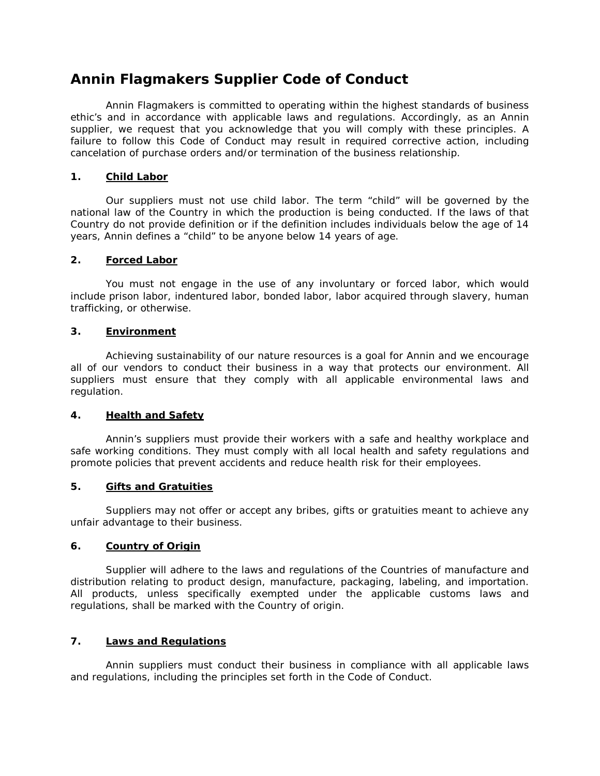# **Annin Flagmakers Supplier Code of Conduct**

Annin Flagmakers is committed to operating within the highest standards of business ethic's and in accordance with applicable laws and regulations. Accordingly, as an Annin supplier, we request that you acknowledge that you will comply with these principles. A failure to follow this Code of Conduct may result in required corrective action, including cancelation of purchase orders and/or termination of the business relationship.

## **1. Child Labor**

Our suppliers must not use child labor. The term "child" will be governed by the national law of the Country in which the production is being conducted. If the laws of that Country do not provide definition or if the definition includes individuals below the age of 14 years, Annin defines a "child" to be anyone below 14 years of age.

### **2. Forced Labor**

You must not engage in the use of any involuntary or forced labor, which would include prison labor, indentured labor, bonded labor, labor acquired through slavery, human trafficking, or otherwise.

### **3. Environment**

Achieving sustainability of our nature resources is a goal for Annin and we encourage all of our vendors to conduct their business in a way that protects our environment. All suppliers must ensure that they comply with all applicable environmental laws and regulation.

### **4. Health and Safety**

Annin's suppliers must provide their workers with a safe and healthy workplace and safe working conditions. They must comply with all local health and safety regulations and promote policies that prevent accidents and reduce health risk for their employees.

#### **5. Gifts and Gratuities**

Suppliers may not offer or accept any bribes, gifts or gratuities meant to achieve any unfair advantage to their business.

#### **6. Country of Origin**

Supplier will adhere to the laws and regulations of the Countries of manufacture and distribution relating to product design, manufacture, packaging, labeling, and importation. All products, unless specifically exempted under the applicable customs laws and regulations, shall be marked with the Country of origin.

## **7. Laws and Regulations**

Annin suppliers must conduct their business in compliance with all applicable laws and regulations, including the principles set forth in the Code of Conduct.